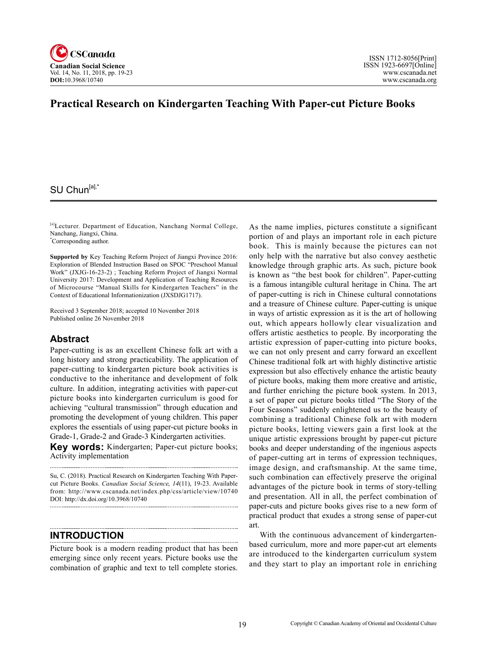

### **Practical Research on Kindergarten Teaching With Paper-cut Picture Books**

### SU Chun<sup>[a],\*</sup>

[a]Lecturer. Department of Education, Nanchang Normal College, Nanchang, Jiangxi, China.

\* Corresponding author.

**Supported by** Key Teaching Reform Project of Jiangxi Province 2016: Exploration of Blended Instruction Based on SPOC "Preschool Manual Work" (JXJG-16-23-2) ; Teaching Reform Project of Jiangxi Normal University 2017: Development and Application of Teaching Resources of Microcourse "Manual Skills for Kindergarten Teachers" in the Context of Educational Informationization (JXSDJG1717).

Received 3 September 2018; accepted 10 November 2018 Published online 26 November 2018

#### **Abstract**

Paper-cutting is as an excellent Chinese folk art with a long history and strong practicability. The application of paper-cutting to kindergarten picture book activities is conductive to the inheritance and development of folk culture. In addition, integrating activities with paper-cut picture books into kindergarten curriculum is good for achieving "cultural transmission" through education and promoting the development of young children. This paper explores the essentials of using paper-cut picture books in Grade-1, Grade-2 and Grade-3 Kindergarten activities.

**Key words:** Kindergarten; Paper-cut picture books; Activity implementation

Su, C. (2018). Practical Research on Kindergarten Teaching With Papercut Picture Books. *Canadian Social Science*, <sup>14</sup>(11), 19-23. Available from: http://www.cscanada.net/index.php/css/article/view/10740 DOI: http://dx.doi.org/10.3968/10740 

### **INTRODUCTION**

Picture book is a modern reading product that has been emerging since only recent years. Picture books use the combination of graphic and text to tell complete stories.

As the name implies, pictures constitute a significant portion of and plays an important role in each picture book. This is mainly because the pictures can not only help with the narrative but also convey aesthetic knowledge through graphic arts. As such, picture book is known as "the best book for children". Paper-cutting is a famous intangible cultural heritage in China. The art of paper-cutting is rich in Chinese cultural connotations and a treasure of Chinese culture. Paper-cutting is unique in ways of artistic expression as it is the art of hollowing out, which appears hollowly clear visualization and offers artistic aesthetics to people. By incorporating the artistic expression of paper-cutting into picture books, we can not only present and carry forward an excellent Chinese traditional folk art with highly distinctive artistic expression but also effectively enhance the artistic beauty of picture books, making them more creative and artistic, and further enriching the picture book system. In 2013, a set of paper cut picture books titled "The Story of the Four Seasons" suddenly enlightened us to the beauty of combining a traditional Chinese folk art with modern picture books, letting viewers gain a first look at the unique artistic expressions brought by paper-cut picture books and deeper understanding of the ingenious aspects of paper-cutting art in terms of expression techniques, image design, and craftsmanship. At the same time, such combination can effectively preserve the original advantages of the picture book in terms of story-telling and presentation. All in all, the perfect combination of paper-cuts and picture books gives rise to a new form of practical product that exudes a strong sense of paper-cut art.

With the continuous advancement of kindergartenbased curriculum, more and more paper-cut art elements are introduced to the kindergarten curriculum system and they start to play an important role in enriching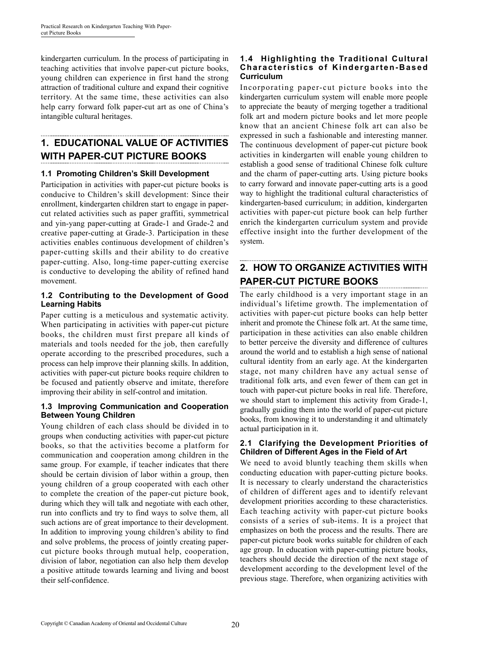kindergarten curriculum. In the process of participating in teaching activities that involve paper-cut picture books, young children can experience in first hand the strong attraction of traditional culture and expand their cognitive territory. At the same time, these activities can also help carry forward folk paper-cut art as one of China's intangible cultural heritages.

# **1. EDUCATIONAL VALUE OF ACTIVITIES WITH PAPER-CUT PICTURE BOOKS**

#### **1.1 Promoting Children's Skill Development**

Participation in activities with paper-cut picture books is conducive to Children's skill development: Since their enrollment, kindergarten children start to engage in papercut related activities such as paper graffiti, symmetrical and yin-yang paper-cutting at Grade-1 and Grade-2 and creative paper-cutting at Grade-3. Participation in these activities enables continuous development of children's paper-cutting skills and their ability to do creative paper-cutting. Also, long-time paper-cutting exercise is conductive to developing the ability of refined hand movement.

#### **1.2 Contributing to the Development of Good Learning Habits**

Paper cutting is a meticulous and systematic activity. When participating in activities with paper-cut picture books, the children must first prepare all kinds of materials and tools needed for the job, then carefully operate according to the prescribed procedures, such a process can help improve their planning skills. In addition, activities with paper-cut picture books require children to be focused and patiently observe and imitate, therefore improving their ability in self-control and imitation.

#### **1.3 Improving Communication and Cooperation Between Young Children**

Young children of each class should be divided in to groups when conducting activities with paper-cut picture books, so that the activities become a platform for communication and cooperation among children in the same group. For example, if teacher indicates that there should be certain division of labor within a group, then young children of a group cooperated with each other to complete the creation of the paper-cut picture book, during which they will talk and negotiate with each other, run into conflicts and try to find ways to solve them, all such actions are of great importance to their development. In addition to improving young children's ability to find and solve problems, the process of jointly creating papercut picture books through mutual help, cooperation, division of labor, negotiation can also help them develop a positive attitude towards learning and living and boost their self-confidence.

#### **1.4 Highlighting the Traditional Cultural Characteristics of Kindergarten-Based Curriculum**

Incorporating paper-cut picture books into the kindergarten curriculum system will enable more people to appreciate the beauty of merging together a traditional folk art and modern picture books and let more people know that an ancient Chinese folk art can also be expressed in such a fashionable and interesting manner. The continuous development of paper-cut picture book activities in kindergarten will enable young children to establish a good sense of traditional Chinese folk culture and the charm of paper-cutting arts. Using picture books to carry forward and innovate paper-cutting arts is a good way to highlight the traditional cultural characteristics of kindergarten-based curriculum; in addition, kindergarten activities with paper-cut picture book can help further enrich the kindergarten curriculum system and provide effective insight into the further development of the system.

## **2. HOW TO ORGANIZE ACTIVITIES WITH PAPER-CUT PICTURE BOOKS**

The early childhood is a very important stage in an individual's lifetime growth. The implementation of activities with paper-cut picture books can help better inherit and promote the Chinese folk art. At the same time, participation in these activities can also enable children to better perceive the diversity and difference of cultures around the world and to establish a high sense of national cultural identity from an early age. At the kindergarten stage, not many children have any actual sense of traditional folk arts, and even fewer of them can get in touch with paper-cut picture books in real life. Therefore, we should start to implement this activity from Grade-1, gradually guiding them into the world of paper-cut picture books, from knowing it to understanding it and ultimately actual participation in it.

#### **2.1 Clarifying the Development Priorities of Children of Different Ages in the Field of Art**

We need to avoid bluntly teaching them skills when conducting education with paper-cutting picture books. It is necessary to clearly understand the characteristics of children of different ages and to identify relevant development priorities according to these characteristics. Each teaching activity with paper-cut picture books consists of a series of sub-items. It is a project that emphasizes on both the process and the results. There are paper-cut picture book works suitable for children of each age group. In education with paper-cutting picture books, teachers should decide the direction of the next stage of development according to the development level of the previous stage. Therefore, when organizing activities with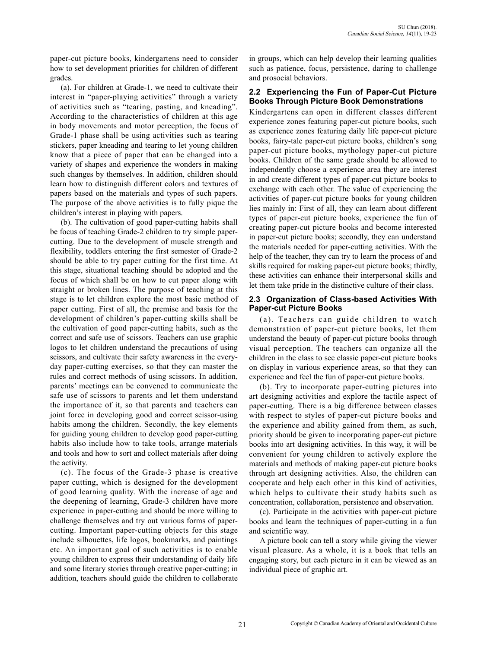paper-cut picture books, kindergartens need to consider how to set development priorities for children of different grades.

(a). For children at Grade-1, we need to cultivate their interest in "paper-playing activities" through a variety of activities such as "tearing, pasting, and kneading". According to the characteristics of children at this age in body movements and motor perception, the focus of Grade-1 phase shall be using activities such as tearing stickers, paper kneading and tearing to let young children know that a piece of paper that can be changed into a variety of shapes and experience the wonders in making such changes by themselves. In addition, children should learn how to distinguish different colors and textures of papers based on the materials and types of such papers. The purpose of the above activities is to fully pique the children's interest in playing with papers.

(b). The cultivation of good paper-cutting habits shall be focus of teaching Grade-2 children to try simple papercutting. Due to the development of muscle strength and flexibility, toddlers entering the first semester of Grade-2 should be able to try paper cutting for the first time. At this stage, situational teaching should be adopted and the focus of which shall be on how to cut paper along with straight or broken lines. The purpose of teaching at this stage is to let children explore the most basic method of paper cutting. First of all, the premise and basis for the development of children's paper-cutting skills shall be the cultivation of good paper-cutting habits, such as the correct and safe use of scissors. Teachers can use graphic logos to let children understand the precautions of using scissors, and cultivate their safety awareness in the everyday paper-cutting exercises, so that they can master the rules and correct methods of using scissors. In addition, parents' meetings can be convened to communicate the safe use of scissors to parents and let them understand the importance of it, so that parents and teachers can joint force in developing good and correct scissor-using habits among the children. Secondly, the key elements for guiding young children to develop good paper-cutting habits also include how to take tools, arrange materials and tools and how to sort and collect materials after doing the activity.

(c). The focus of the Grade-3 phase is creative paper cutting, which is designed for the development of good learning quality. With the increase of age and the deepening of learning, Grade-3 children have more experience in paper-cutting and should be more willing to challenge themselves and try out various forms of papercutting. Important paper-cutting objects for this stage include silhouettes, life logos, bookmarks, and paintings etc. An important goal of such activities is to enable young children to express their understanding of daily life and some literary stories through creative paper-cutting; in addition, teachers should guide the children to collaborate in groups, which can help develop their learning qualities such as patience, focus, persistence, daring to challenge and prosocial behaviors.

#### **2.2 Experiencing the Fun of Paper-Cut Picture Books Through Picture Book Demonstrations**

Kindergartens can open in different classes different experience zones featuring paper-cut picture books, such as experience zones featuring daily life paper-cut picture books, fairy-tale paper-cut picture books, children's song paper-cut picture books, mythology paper-cut picture books. Children of the same grade should be allowed to independently choose a experience area they are interest in and create different types of paper-cut picture books to exchange with each other. The value of experiencing the activities of paper-cut picture books for young children lies mainly in: First of all, they can learn about different types of paper-cut picture books, experience the fun of creating paper-cut picture books and become interested in paper-cut picture books; secondly, they can understand the materials needed for paper-cutting activities. With the help of the teacher, they can try to learn the process of and skills required for making paper-cut picture books; thirdly, these activities can enhance their interpersonal skills and let them take pride in the distinctive culture of their class.

#### **2.3 Organization of Class-based Activities With Paper-cut Picture Books**

(a). Teachers can guide children to watch demonstration of paper-cut picture books, let them understand the beauty of paper-cut picture books through visual perception. The teachers can organize all the children in the class to see classic paper-cut picture books on display in various experience areas, so that they can experience and feel the fun of paper-cut picture books.

(b). Try to incorporate paper-cutting pictures into art designing activities and explore the tactile aspect of paper-cutting. There is a big difference between classes with respect to styles of paper-cut picture books and the experience and ability gained from them, as such, priority should be given to incorporating paper-cut picture books into art designing activities. In this way, it will be convenient for young children to actively explore the materials and methods of making paper-cut picture books through art designing activities. Also, the children can cooperate and help each other in this kind of activities, which helps to cultivate their study habits such as concentration, collaboration, persistence and observation.

(c). Participate in the activities with paper-cut picture books and learn the techniques of paper-cutting in a fun and scientific way.

A picture book can tell a story while giving the viewer visual pleasure. As a whole, it is a book that tells an engaging story, but each picture in it can be viewed as an individual piece of graphic art.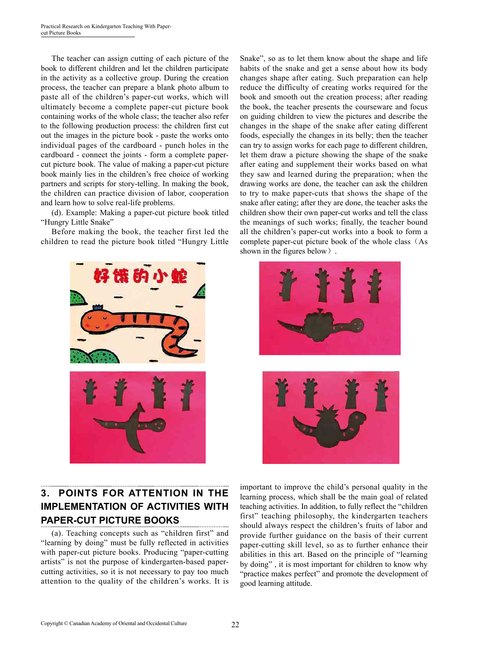The teacher can assign cutting of each picture of the book to different children and let the children participate in the activity as a collective group. During the creation process, the teacher can prepare a blank photo album to paste all of the children's paper-cut works, which will ultimately become a complete paper-cut picture book containing works of the whole class; the teacher also refer to the following production process: the children first cut out the images in the picture book - paste the works onto individual pages of the cardboard - punch holes in the cardboard - connect the joints - form a complete papercut picture book. The value of making a paper-cut picture book mainly lies in the children's free choice of working partners and scripts for story-telling. In making the book, the children can practice division of labor, cooperation and learn how to solve real-life problems.

(d). Example: Making a paper-cut picture book titled "Hungry Little Snake"

Before making the book, the teacher first led the children to read the picture book titled "Hungry Little



## **3. POINTS FOR ATTENTION IN THE IMPLEMENTATION OF ACTIVITIES WITH PAPER-CUT PICTURE BOOKS**

(a). Teaching concepts such as "children first" and "learning by doing" must be fully reflected in activities with paper-cut picture books. Producing "paper-cutting artists" is not the purpose of kindergarten-based papercutting activities, so it is not necessary to pay too much attention to the quality of the children's works. It is Snake", so as to let them know about the shape and life habits of the snake and get a sense about how its body changes shape after eating. Such preparation can help reduce the difficulty of creating works required for the book and smooth out the creation process; after reading the book, the teacher presents the courseware and focus on guiding children to view the pictures and describe the changes in the shape of the snake after eating different foods, especially the changes in its belly; then the teacher can try to assign works for each page to different children, let them draw a picture showing the shape of the snake after eating and supplement their works based on what they saw and learned during the preparation; when the drawing works are done, the teacher can ask the children to try to make paper-cuts that shows the shape of the snake after eating; after they are done, the teacher asks the children show their own paper-cut works and tell the class the meanings of such works; finally, the teacher bound all the children's paper-cut works into a book to form a complete paper-cut picture book of the whole class(As shown in the figures below).





important to improve the child's personal quality in the learning process, which shall be the main goal of related teaching activities. In addition, to fully reflect the "children first" teaching philosophy, the kindergarten teachers should always respect the children's fruits of labor and provide further guidance on the basis of their current paper-cutting skill level, so as to further enhance their abilities in this art. Based on the principle of "learning by doing" , it is most important for children to know why "practice makes perfect" and promote the development of good learning attitude.